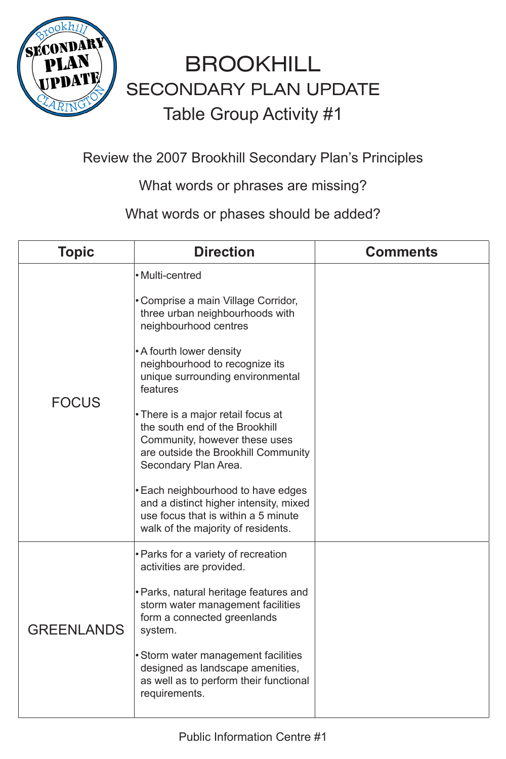

#### Review the 2007 Brookhill Secondary Plan's Principles

What words or phrases are missing?

What words or phases should be added?





#### FOCUS

• Multi-centred

• Comprise a main Village Corridor, three urban neighbourhoods with neighbourhood centres

•A fourth lower density neighbourhood to recognize its unique surrounding environmental features

- •There is a major retail focus at the south end of the Brookhill Community, however these uses are outside the Brookhill Community Secondary Plan Area.
- •Each neighbourhood to have edges and a distinct higher intensity, mixed use focus that is within a 5 minute

|            | walk of the majority of residents.                                                                                                 |  |
|------------|------------------------------------------------------------------------------------------------------------------------------------|--|
| GREENLANDS | • Parks for a variety of recreation<br>activities are provided.                                                                    |  |
|            | <b>• Parks, natural heritage features and</b><br>storm water management facilities<br>form a connected greenlands<br>system.       |  |
|            | • Storm water management facilities<br>designed as landscape amenities,<br>as well as to perform their functional<br>requirements. |  |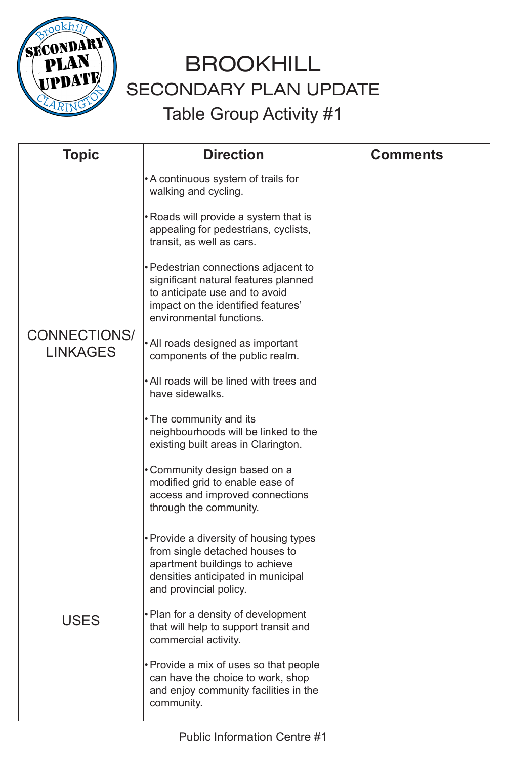

### CONNECTIONS/ LINKAGES

| <b>Topic</b> | <b>Direction</b>                                                                                                                                                                                                                      | <b>Comments</b> |
|--------------|---------------------------------------------------------------------------------------------------------------------------------------------------------------------------------------------------------------------------------------|-----------------|
|              | • A continuous system of trails for<br>walking and cycling.                                                                                                                                                                           |                 |
|              | • Roads will provide a system that is<br>appealing for pedestrians, cyclists,<br>transit, as well as cars.                                                                                                                            |                 |
|              | $\blacksquare$ . The set of the second contract of the second set of the second set of the second set of the second set of the second set of the second set of the second set of the second set of the second second set of the secon |                 |

• Pedestrian connections adjacent to significant natural features planned to anticipate use and to avoid impact on the identified features' environmental functions.

• All roads designed as important components of the public realm.

• Plan for a density of development that will help to support transit and commercial activity.

• All roads will be lined with trees and have sidewalks.

• The community and its neig hbourhoods will be linked to the existing built areas in Clarington.

• Community design based on a modified grid to enable ease of access and improved connections through the community.



• Pro vide a diversity of housing types fro m single detached houses to apartment buildings to achieve densities anticipated in municipal and provincial policy.

• Provi de a mix of uses so that people can have the choice to work, shop and enjoy community facilities in the community.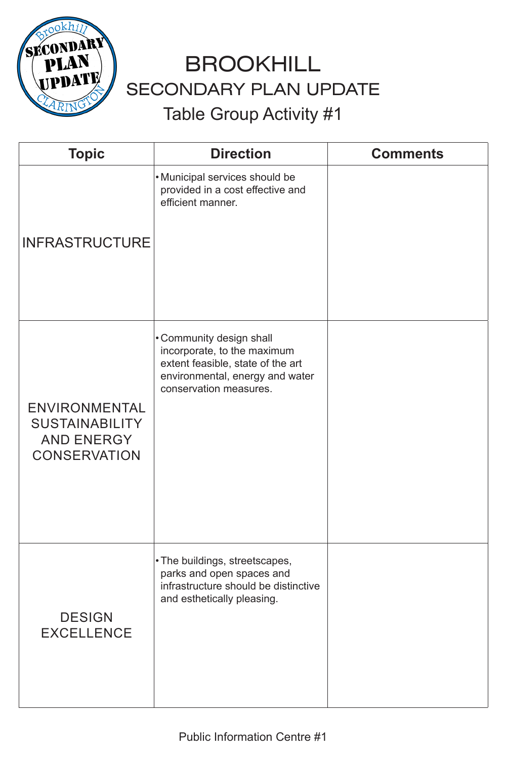

| <b>Topic</b>   | <b>Direction</b>                                                                        | <b>Comments</b> |
|----------------|-----------------------------------------------------------------------------------------|-----------------|
|                | • Municipal services should be<br>provided in a cost effective and<br>efficient manner. |                 |
| INFRASTRUCTURE |                                                                                         |                 |

ENVIRONMENTAL SUSTAINABILITY AND ENERGY CONSERVATION

• Community design shall incorporate, to the maximum extent feasible, state of the art environmental, energy and water conservation measures.

#### DESIGN EXCELLENCE

• The buildings, streetscapes, parks and open spaces and infrastructure should be distinctive and esthetically pleasing.